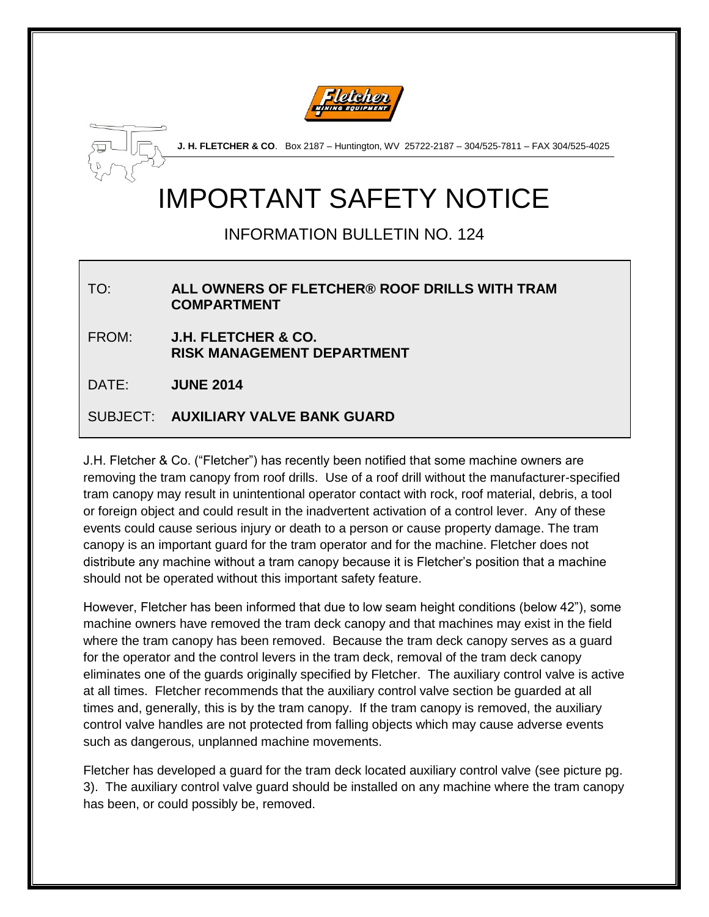



**J. H. FLETCHER & CO**. Box 2187 – Huntington, WV 25722-2187 – 304/525-7811 – FAX 304/525-4025

# IMPORTANT SAFETY NOTICE

## INFORMATION BULLETIN NO. 124

#### TO: **ALL OWNERS OF FLETCHER® ROOF DRILLS WITH TRAM COMPARTMENT**

FROM: **J.H. FLETCHER & CO. RISK MANAGEMENT DEPARTMENT**

DATE: **JUNE 2014**

#### SUBJECT: **AUXILIARY VALVE BANK GUARD**

J.H. Fletcher & Co. ("Fletcher") has recently been notified that some machine owners are removing the tram canopy from roof drills. Use of a roof drill without the manufacturer-specified tram canopy may result in unintentional operator contact with rock, roof material, debris, a tool or foreign object and could result in the inadvertent activation of a control lever. Any of these events could cause serious injury or death to a person or cause property damage. The tram canopy is an important guard for the tram operator and for the machine. Fletcher does not distribute any machine without a tram canopy because it is Fletcher's position that a machine should not be operated without this important safety feature.

However, Fletcher has been informed that due to low seam height conditions (below 42"), some machine owners have removed the tram deck canopy and that machines may exist in the field where the tram canopy has been removed. Because the tram deck canopy serves as a guard for the operator and the control levers in the tram deck, removal of the tram deck canopy eliminates one of the guards originally specified by Fletcher. The auxiliary control valve is active at all times. Fletcher recommends that the auxiliary control valve section be guarded at all times and, generally, this is by the tram canopy. If the tram canopy is removed, the auxiliary control valve handles are not protected from falling objects which may cause adverse events such as dangerous, unplanned machine movements.

Fletcher has developed a guard for the tram deck located auxiliary control valve (see picture pg. 3). The auxiliary control valve guard should be installed on any machine where the tram canopy has been, or could possibly be, removed.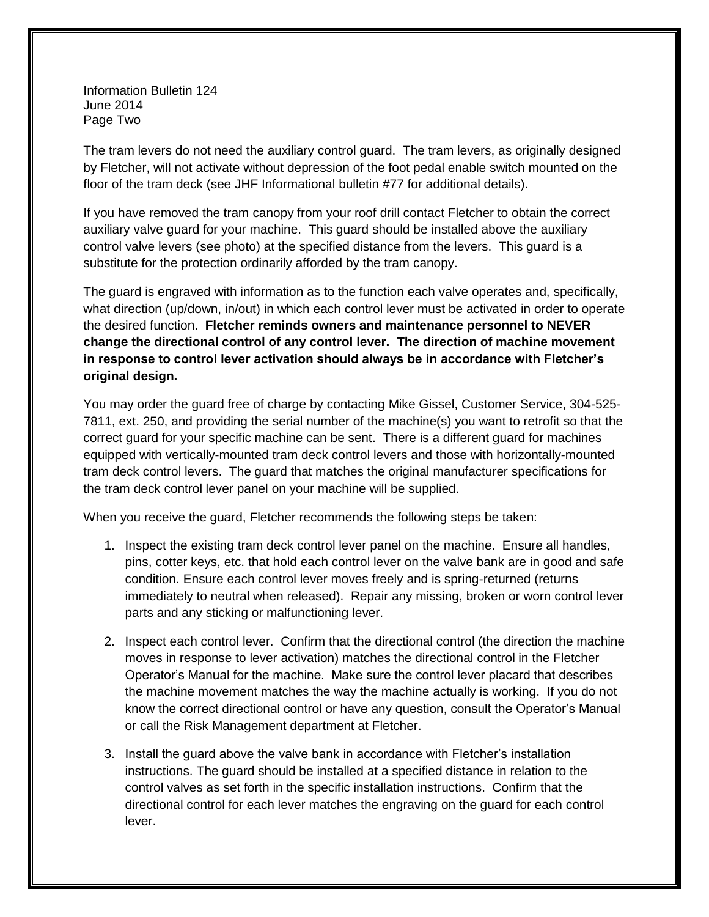Information Bulletin 124 June 2014 Page Two

The tram levers do not need the auxiliary control guard. The tram levers, as originally designed by Fletcher, will not activate without depression of the foot pedal enable switch mounted on the floor of the tram deck (see JHF Informational bulletin #77 for additional details).

If you have removed the tram canopy from your roof drill contact Fletcher to obtain the correct auxiliary valve guard for your machine. This guard should be installed above the auxiliary control valve levers (see photo) at the specified distance from the levers. This guard is a substitute for the protection ordinarily afforded by the tram canopy.

The guard is engraved with information as to the function each valve operates and, specifically, what direction (up/down, in/out) in which each control lever must be activated in order to operate the desired function. **Fletcher reminds owners and maintenance personnel to NEVER change the directional control of any control lever. The direction of machine movement in response to control lever activation should always be in accordance with Fletcher's original design.**

You may order the guard free of charge by contacting Mike Gissel, Customer Service, 304-525- 7811, ext. 250, and providing the serial number of the machine(s) you want to retrofit so that the correct guard for your specific machine can be sent. There is a different guard for machines equipped with vertically-mounted tram deck control levers and those with horizontally-mounted tram deck control levers. The guard that matches the original manufacturer specifications for the tram deck control lever panel on your machine will be supplied.

When you receive the guard, Fletcher recommends the following steps be taken:

- 1. Inspect the existing tram deck control lever panel on the machine. Ensure all handles, pins, cotter keys, etc. that hold each control lever on the valve bank are in good and safe condition. Ensure each control lever moves freely and is spring-returned (returns immediately to neutral when released). Repair any missing, broken or worn control lever parts and any sticking or malfunctioning lever.
- 2. Inspect each control lever. Confirm that the directional control (the direction the machine moves in response to lever activation) matches the directional control in the Fletcher Operator's Manual for the machine. Make sure the control lever placard that describes the machine movement matches the way the machine actually is working. If you do not know the correct directional control or have any question, consult the Operator's Manual or call the Risk Management department at Fletcher.
- 3. Install the guard above the valve bank in accordance with Fletcher's installation instructions. The guard should be installed at a specified distance in relation to the control valves as set forth in the specific installation instructions. Confirm that the directional control for each lever matches the engraving on the guard for each control lever.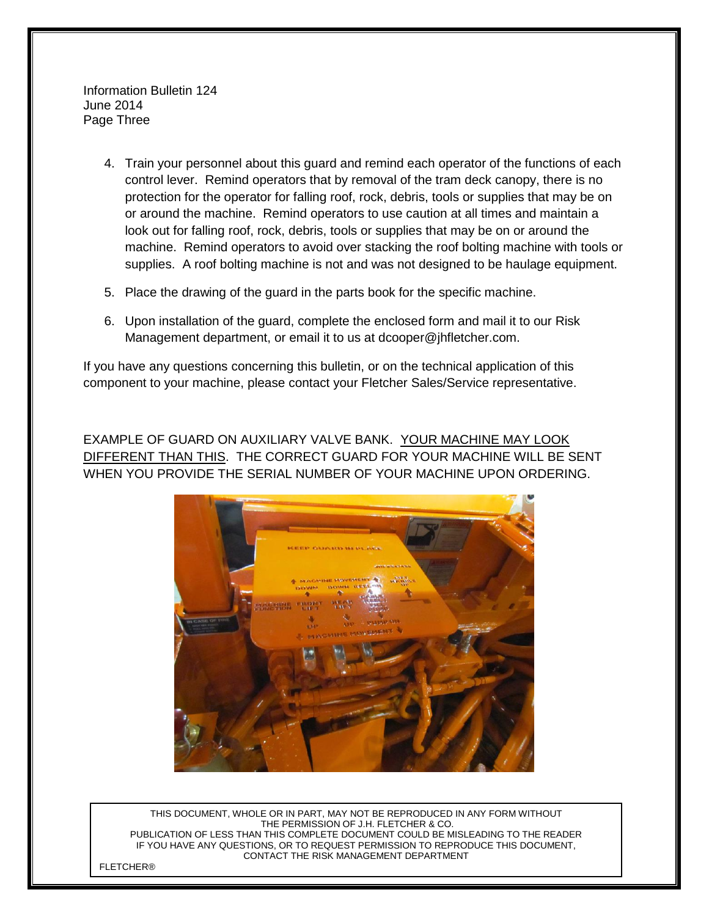Information Bulletin 124 June 2014 Page Three

- 4. Train your personnel about this guard and remind each operator of the functions of each control lever. Remind operators that by removal of the tram deck canopy, there is no protection for the operator for falling roof, rock, debris, tools or supplies that may be on or around the machine. Remind operators to use caution at all times and maintain a look out for falling roof, rock, debris, tools or supplies that may be on or around the machine. Remind operators to avoid over stacking the roof bolting machine with tools or supplies. A roof bolting machine is not and was not designed to be haulage equipment.
- 5. Place the drawing of the guard in the parts book for the specific machine.
- 6. Upon installation of the guard, complete the enclosed form and mail it to our Risk Management department, or email it to us at dcooper@jhfletcher.com.

If you have any questions concerning this bulletin, or on the technical application of this component to your machine, please contact your Fletcher Sales/Service representative.

EXAMPLE OF GUARD ON AUXILIARY VALVE BANK. YOUR MACHINE MAY LOOK DIFFERENT THAN THIS. THE CORRECT GUARD FOR YOUR MACHINE WILL BE SENT WHEN YOU PROVIDE THE SERIAL NUMBER OF YOUR MACHINE UPON ORDERING.



THIS DOCUMENT, WHOLE OR IN PART, MAY NOT BE REPRODUCED IN ANY FORM WITHOUT THE PERMISSION OF J.H. FLETCHER & CO. PUBLICATION OF LESS THAN THIS COMPLETE DOCUMENT COULD BE MISLEADING TO THE READER IF YOU HAVE ANY QUESTIONS, OR TO REQUEST PERMISSION TO REPRODUCE THIS DOCUMENT, CONTACT THE RISK MANAGEMENT DEPARTMENT

**FI FTCHFR®**